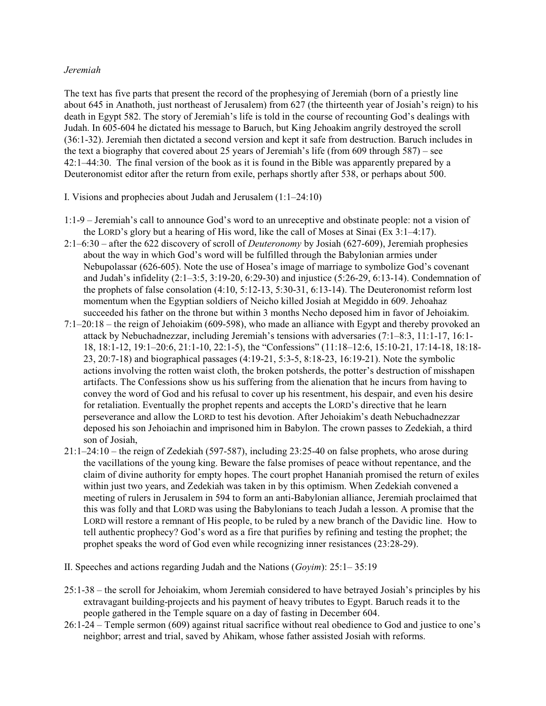## *Jeremiah*

The text has five parts that present the record of the prophesying of Jeremiah (born of a priestly line about 645 in Anathoth, just northeast of Jerusalem) from 627 (the thirteenth year of Josiah's reign) to his death in Egypt 582. The story of Jeremiah's life is told in the course of recounting God's dealings with Judah. In 605-604 he dictated his message to Baruch, but King Jehoakim angrily destroyed the scroll (36:1-32). Jeremiah then dictated a second version and kept it safe from destruction. Baruch includes in the text a biography that covered about 25 years of Jeremiah's life (from 609 through  $587$ ) – see 42:1–44:30. The final version of the book as it is found in the Bible was apparently prepared by a Deuteronomist editor after the return from exile, perhaps shortly after 538, or perhaps about 500.

- I. Visions and prophecies about Judah and Jerusalem (1:1–24:10)
- 1:1-9 Jeremiah's call to announce God's word to an unreceptive and obstinate people: not a vision of the LORD's glory but a hearing of His word, like the call of Moses at Sinai (Ex 3:1–4:17).
- 2:1–6:30 after the 622 discovery of scroll of *Deuteronomy* by Josiah (627-609), Jeremiah prophesies about the way in which God's word will be fulfilled through the Babylonian armies under Nebupolassar (626-605). Note the use of Hosea's image of marriage to symbolize God's covenant and Judah's infidelity (2:1–3:5, 3:19-20, 6:29-30) and injustice (5:26-29, 6:13-14). Condemnation of the prophets of false consolation (4:10, 5:12-13, 5:30-31, 6:13-14). The Deuteronomist reform lost momentum when the Egyptian soldiers of Neicho killed Josiah at Megiddo in 609. Jehoahaz succeeded his father on the throne but within 3 months Necho deposed him in favor of Jehoiakim.
- 7:1–20:18 the reign of Jehoiakim (609-598), who made an alliance with Egypt and thereby provoked an attack by Nebuchadnezzar, including Jeremiah's tensions with adversaries (7:1–8:3, 11:1-17, 16:1- 18, 18:1-12, 19:1–20:6, 21:1-10, 22:1-5), the "Confessions" (11:18–12:6, 15:10-21, 17:14-18, 18:18- 23, 20:7-18) and biographical passages (4:19-21, 5:3-5, 8:18-23, 16:19-21). Note the symbolic actions involving the rotten waist cloth, the broken potsherds, the potter's destruction of misshapen artifacts. The Confessions show us his suffering from the alienation that he incurs from having to convey the word of God and his refusal to cover up his resentment, his despair, and even his desire for retaliation. Eventually the prophet repents and accepts the LORD's directive that he learn perseverance and allow the LORD to test his devotion. After Jehoiakim's death Nebuchadnezzar deposed his son Jehoiachin and imprisoned him in Babylon. The crown passes to Zedekiah, a third son of Josiah,
- 21:1–24:10 the reign of Zedekiah (597-587), including 23:25-40 on false prophets, who arose during the vacillations of the young king. Beware the false promises of peace without repentance, and the claim of divine authority for empty hopes. The court prophet Hananiah promised the return of exiles within just two years, and Zedekiah was taken in by this optimism. When Zedekiah convened a meeting of rulers in Jerusalem in 594 to form an anti-Babylonian alliance, Jeremiah proclaimed that this was folly and that LORD was using the Babylonians to teach Judah a lesson. A promise that the LORD will restore a remnant of His people, to be ruled by a new branch of the Davidic line. How to tell authentic prophecy? God's word as a fire that purifies by refining and testing the prophet; the prophet speaks the word of God even while recognizing inner resistances (23:28-29).
- II. Speeches and actions regarding Judah and the Nations (*Goyim*): 25:1– 35:19
- 25:1-38 the scroll for Jehoiakim, whom Jeremiah considered to have betrayed Josiah's principles by his extravagant building-projects and his payment of heavy tributes to Egypt. Baruch reads it to the people gathered in the Temple square on a day of fasting in December 604.
- 26:1-24 Temple sermon (609) against ritual sacrifice without real obedience to God and justice to one's neighbor; arrest and trial, saved by Ahikam, whose father assisted Josiah with reforms.